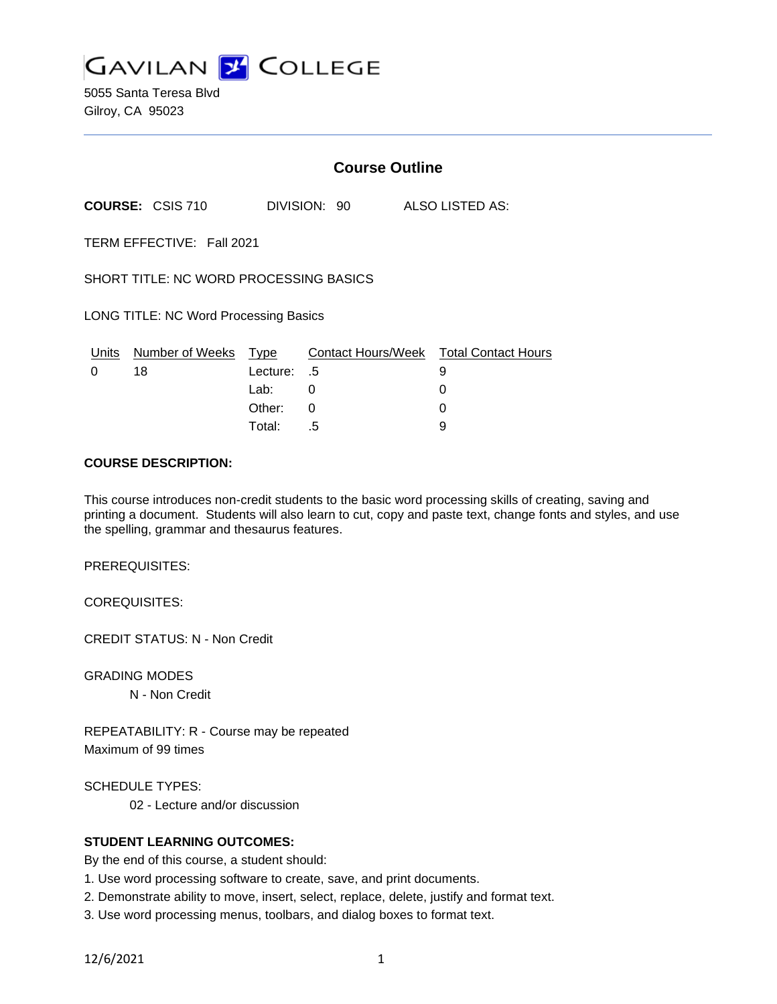

5055 Santa Teresa Blvd Gilroy, CA 95023

|                                        |                            | <b>Course Outline</b> |                              |  |                                        |
|----------------------------------------|----------------------------|-----------------------|------------------------------|--|----------------------------------------|
|                                        | <b>COURSE: CSIS 710</b>    |                       | DIVISION: 90 ALSO LISTED AS: |  |                                        |
| TERM EFFECTIVE: Fall 2021              |                            |                       |                              |  |                                        |
| SHORT TITLE: NC WORD PROCESSING BASICS |                            |                       |                              |  |                                        |
| LONG TITLE: NC Word Processing Basics  |                            |                       |                              |  |                                        |
|                                        | Units Number of Weeks Type |                       |                              |  | Contact Hours/Week Total Contact Hours |
| 0                                      | 18                         | Lecture: .5           |                              |  | 9                                      |
|                                        |                            | Lab:                  | 0                            |  | 0                                      |
|                                        |                            | Other:                | 0                            |  | O                                      |
|                                        |                            | Total:                | .5                           |  | 9                                      |

#### **COURSE DESCRIPTION:**

This course introduces non-credit students to the basic word processing skills of creating, saving and printing a document. Students will also learn to cut, copy and paste text, change fonts and styles, and use the spelling, grammar and thesaurus features.

PREREQUISITES:

COREQUISITES:

CREDIT STATUS: N - Non Credit

GRADING MODES N - Non Credit

REPEATABILITY: R - Course may be repeated Maximum of 99 times

SCHEDULE TYPES:

02 - Lecture and/or discussion

### **STUDENT LEARNING OUTCOMES:**

By the end of this course, a student should:

- 1. Use word processing software to create, save, and print documents.
- 2. Demonstrate ability to move, insert, select, replace, delete, justify and format text.
- 3. Use word processing menus, toolbars, and dialog boxes to format text.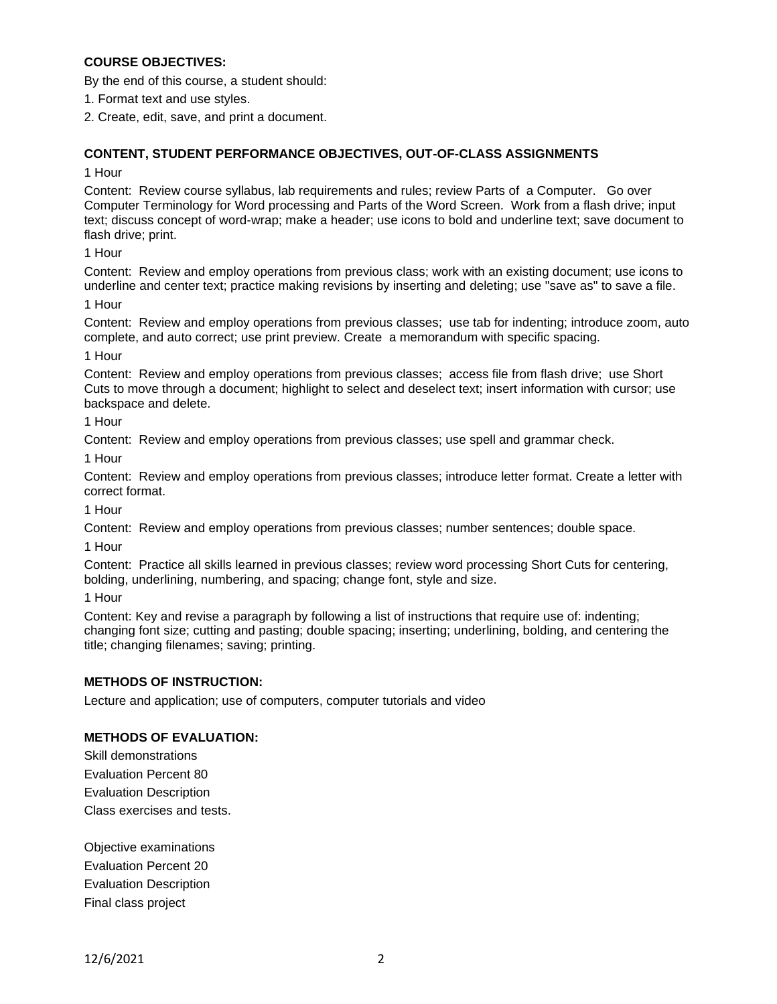## **COURSE OBJECTIVES:**

By the end of this course, a student should:

- 1. Format text and use styles.
- 2. Create, edit, save, and print a document.

## **CONTENT, STUDENT PERFORMANCE OBJECTIVES, OUT-OF-CLASS ASSIGNMENTS**

#### 1 Hour

Content: Review course syllabus, lab requirements and rules; review Parts of a Computer. Go over Computer Terminology for Word processing and Parts of the Word Screen. Work from a flash drive; input text; discuss concept of word-wrap; make a header; use icons to bold and underline text; save document to flash drive; print.

## 1 Hour

Content: Review and employ operations from previous class; work with an existing document; use icons to underline and center text; practice making revisions by inserting and deleting; use "save as" to save a file.

## 1 Hour

Content: Review and employ operations from previous classes; use tab for indenting; introduce zoom, auto complete, and auto correct; use print preview. Create a memorandum with specific spacing.

# 1 Hour

Content: Review and employ operations from previous classes; access file from flash drive; use Short Cuts to move through a document; highlight to select and deselect text; insert information with cursor; use backspace and delete.

## 1 Hour

Content: Review and employ operations from previous classes; use spell and grammar check.

1 Hour

Content: Review and employ operations from previous classes; introduce letter format. Create a letter with correct format.

1 Hour

Content: Review and employ operations from previous classes; number sentences; double space.

1 Hour

Content: Practice all skills learned in previous classes; review word processing Short Cuts for centering, bolding, underlining, numbering, and spacing; change font, style and size.

1 Hour

Content: Key and revise a paragraph by following a list of instructions that require use of: indenting; changing font size; cutting and pasting; double spacing; inserting; underlining, bolding, and centering the title; changing filenames; saving; printing.

## **METHODS OF INSTRUCTION:**

Lecture and application; use of computers, computer tutorials and video

## **METHODS OF EVALUATION:**

Skill demonstrations Evaluation Percent 80 Evaluation Description Class exercises and tests.

Objective examinations Evaluation Percent 20 Evaluation Description Final class project